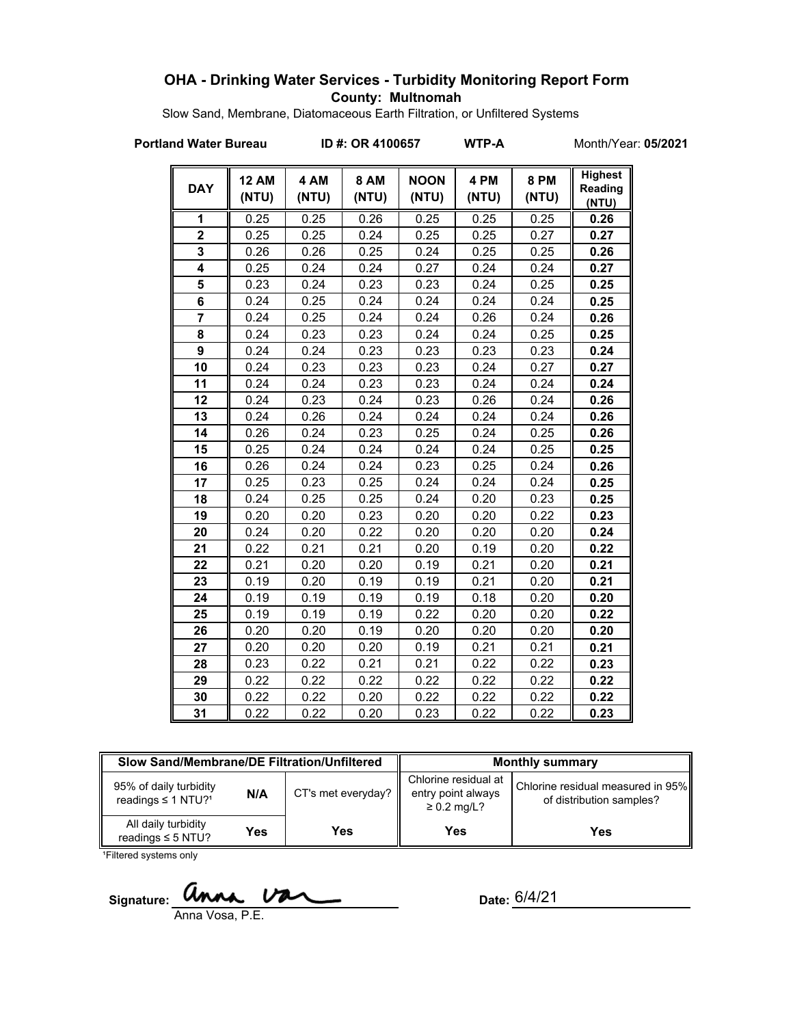## **OHA - Drinking Water Services - Turbidity Monitoring Report Form County: Multnomah**

Slow Sand, Membrane, Diatomaceous Earth Filtration, or Unfiltered Systems

**Portland Water Bureau ID #: OR 4100657 WTP-A** Month/Year: **05/2021**

| <b>DAY</b>              | <b>12 AM</b><br>(NTU) | 4 AM<br>(NTU) | <b>8 AM</b><br>(NTU) | <b>NOON</b><br>(NTU) | 4 PM<br>(NTU) | <b>8 PM</b><br>(NTU) | <b>Highest</b><br>Reading<br>(NTU) |
|-------------------------|-----------------------|---------------|----------------------|----------------------|---------------|----------------------|------------------------------------|
| 1                       | 0.25                  | 0.25          | 0.26                 | 0.25                 | 0.25          | 0.25                 | 0.26                               |
| $\overline{2}$          | 0.25                  | 0.25          | 0.24                 | 0.25                 | 0.25          | 0.27                 | 0.27                               |
| 3                       | 0.26                  | 0.26          | 0.25                 | 0.24                 | 0.25          | 0.25                 | 0.26                               |
| 4                       | 0.25                  | 0.24          | 0.24                 | 0.27                 | 0.24          | 0.24                 | 0.27                               |
| 5                       | 0.23                  | 0.24          | 0.23                 | 0.23                 | 0.24          | 0.25                 | 0.25                               |
| $\overline{\mathbf{6}}$ | 0.24                  | 0.25          | 0.24                 | 0.24                 | 0.24          | 0.24                 | 0.25                               |
| $\overline{7}$          | 0.24                  | 0.25          | 0.24                 | 0.24                 | 0.26          | 0.24                 | 0.26                               |
| 8                       | 0.24                  | 0.23          | 0.23                 | 0.24                 | 0.24          | 0.25                 | 0.25                               |
| 9                       | 0.24                  | 0.24          | 0.23                 | 0.23                 | 0.23          | 0.23                 | 0.24                               |
| 10                      | 0.24                  | 0.23          | 0.23                 | 0.23                 | 0.24          | 0.27                 | 0.27                               |
| 11                      | 0.24                  | 0.24          | 0.23                 | 0.23                 | 0.24          | 0.24                 | 0.24                               |
| 12                      | 0.24                  | 0.23          | 0.24                 | 0.23                 | 0.26          | 0.24                 | 0.26                               |
| 13                      | 0.24                  | 0.26          | 0.24                 | 0.24                 | 0.24          | 0.24                 | 0.26                               |
| 14                      | 0.26                  | 0.24          | 0.23                 | 0.25                 | 0.24          | 0.25                 | 0.26                               |
| 15                      | 0.25                  | 0.24          | 0.24                 | 0.24                 | 0.24          | 0.25                 | 0.25                               |
| 16                      | 0.26                  | 0.24          | 0.24                 | 0.23                 | 0.25          | 0.24                 | 0.26                               |
| 17                      | 0.25                  | 0.23          | 0.25                 | 0.24                 | 0.24          | 0.24                 | 0.25                               |
| 18                      | 0.24                  | 0.25          | 0.25                 | 0.24                 | 0.20          | 0.23                 | 0.25                               |
| 19                      | 0.20                  | 0.20          | 0.23                 | 0.20                 | 0.20          | 0.22                 | 0.23                               |
| 20                      | 0.24                  | 0.20          | 0.22                 | 0.20                 | 0.20          | 0.20                 | 0.24                               |
| 21                      | 0.22                  | 0.21          | 0.21                 | 0.20                 | 0.19          | 0.20                 | 0.22                               |
| 22                      | 0.21                  | 0.20          | 0.20                 | 0.19                 | 0.21          | 0.20                 | 0.21                               |
| 23                      | 0.19                  | 0.20          | 0.19                 | 0.19                 | 0.21          | 0.20                 | 0.21                               |
| 24                      | 0.19                  | 0.19          | 0.19                 | 0.19                 | 0.18          | 0.20                 | 0.20                               |
| 25                      | 0.19                  | 0.19          | 0.19                 | 0.22                 | 0.20          | 0.20                 | 0.22                               |
| 26                      | 0.20                  | 0.20          | 0.19                 | 0.20                 | 0.20          | 0.20                 | 0.20                               |
| 27                      | 0.20                  | 0.20          | 0.20                 | 0.19                 | 0.21          | 0.21                 | 0.21                               |
| 28                      | 0.23                  | 0.22          | 0.21                 | 0.21                 | 0.22          | 0.22                 | 0.23                               |
| 29                      | 0.22                  | 0.22          | 0.22                 | 0.22                 | 0.22          | 0.22                 | 0.22                               |
| 30                      | 0.22                  | 0.22          | 0.20                 | 0.22                 | 0.22          | 0.22                 | 0.22                               |
| 31                      | 0.22                  | 0.22          | 0.20                 | 0.23                 | 0.22          | 0.22                 | 0.23                               |

| Slow Sand/Membrane/DE Filtration/Unfiltered                          |     |                      | <b>Monthly summary</b>                                         |                                                               |  |
|----------------------------------------------------------------------|-----|----------------------|----------------------------------------------------------------|---------------------------------------------------------------|--|
| 95% of daily turbidity<br>N/A<br>readings $\leq$ 1 NTU? <sup>1</sup> |     | $CT's$ met everyday? | Chlorine residual at<br>entry point always<br>$\geq 0.2$ mg/L? | Chlorine residual measured in 95%<br>of distribution samples? |  |
| All daily turbidity<br>readings $\leq$ 5 NTU?                        | Yes | Yes                  | Yes                                                            | <b>Yes</b>                                                    |  |

<sup>1</sup>Filtered systems only

Signature: **Unna Var** 

Vosa, P.E.

Date: 6/4/21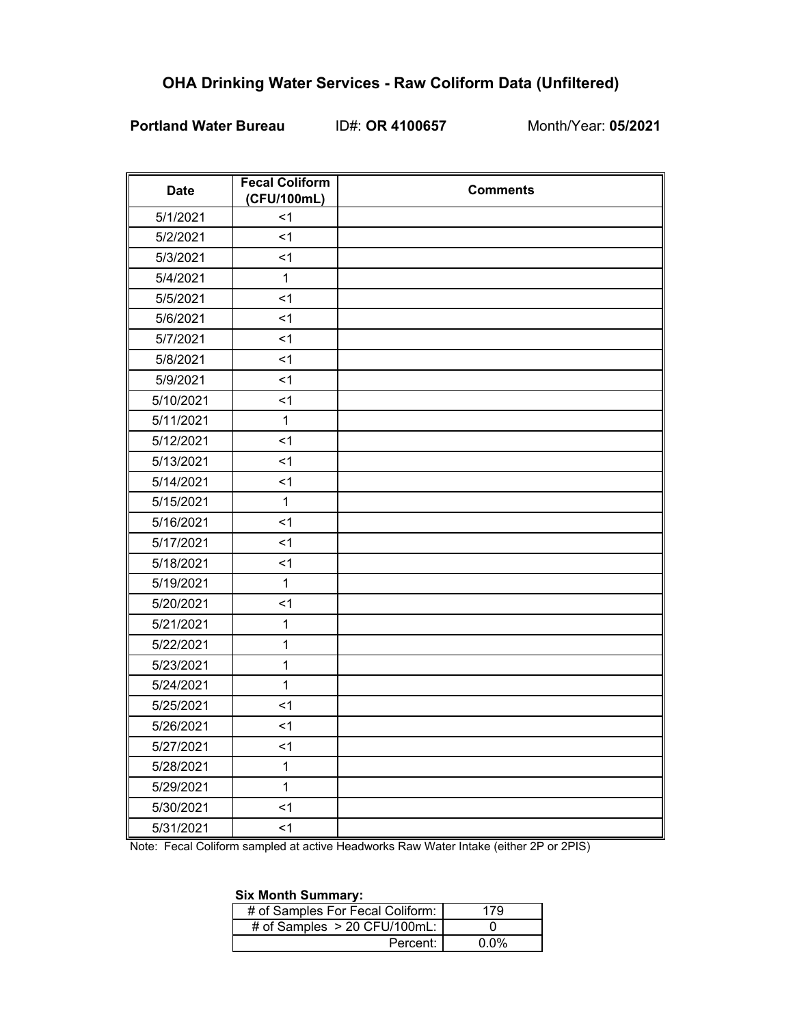## **OHA Drinking Water Services - Raw Coliform Data (Unfiltered)**

## **Portland Water Bureau** ID#: **OR 4100657** Month/Year: **05/2021**

| <b>Date</b> | <b>Fecal Coliform</b><br>(CFU/100mL) | <b>Comments</b> |
|-------------|--------------------------------------|-----------------|
| 5/1/2021    | $<$ 1                                |                 |
| 5/2/2021    | $\leq$ 1                             |                 |
| 5/3/2021    | $\leq$ 1                             |                 |
| 5/4/2021    | $\mathbf{1}$                         |                 |
| 5/5/2021    | $\leq$ 1                             |                 |
| 5/6/2021    | $\leq$ 1                             |                 |
| 5/7/2021    | $<$ 1                                |                 |
| 5/8/2021    | $<$ 1                                |                 |
| 5/9/2021    | $<$ 1                                |                 |
| 5/10/2021   | $\leq$ 1                             |                 |
| 5/11/2021   | $\mathbf{1}$                         |                 |
| 5/12/2021   | $\leq$ 1                             |                 |
| 5/13/2021   | $\leq$ 1                             |                 |
| 5/14/2021   | $<$ 1                                |                 |
| 5/15/2021   | $\mathbf{1}$                         |                 |
| 5/16/2021   | $1$                                  |                 |
| 5/17/2021   | $<$ 1                                |                 |
| 5/18/2021   | $<$ 1                                |                 |
| 5/19/2021   | $\mathbf{1}$                         |                 |
| 5/20/2021   | $\leq$ 1                             |                 |
| 5/21/2021   | $\mathbf{1}$                         |                 |
| 5/22/2021   | $\mathbf{1}$                         |                 |
| 5/23/2021   | 1                                    |                 |
| 5/24/2021   | $\mathbf{1}$                         |                 |
| 5/25/2021   | $\leq$ 1                             |                 |
| 5/26/2021   | $<$ 1                                |                 |
| 5/27/2021   | $\leq$ 1                             |                 |
| 5/28/2021   | $\mathbf{1}$                         |                 |
| 5/29/2021   | $\mathbf{1}$                         |                 |
| 5/30/2021   | $\leq$ 1                             |                 |
| 5/31/2021   | $\leq$ 1                             |                 |

Note: Fecal Coliform sampled at active Headworks Raw Water Intake (either 2P or 2PIS)

#### **Six Month Summary:**

| # of Samples For Fecal Coliform: | 179         |
|----------------------------------|-------------|
| # of Samples $> 20$ CFU/100mL:   |             |
| Percent:                         | <u>በ በ%</u> |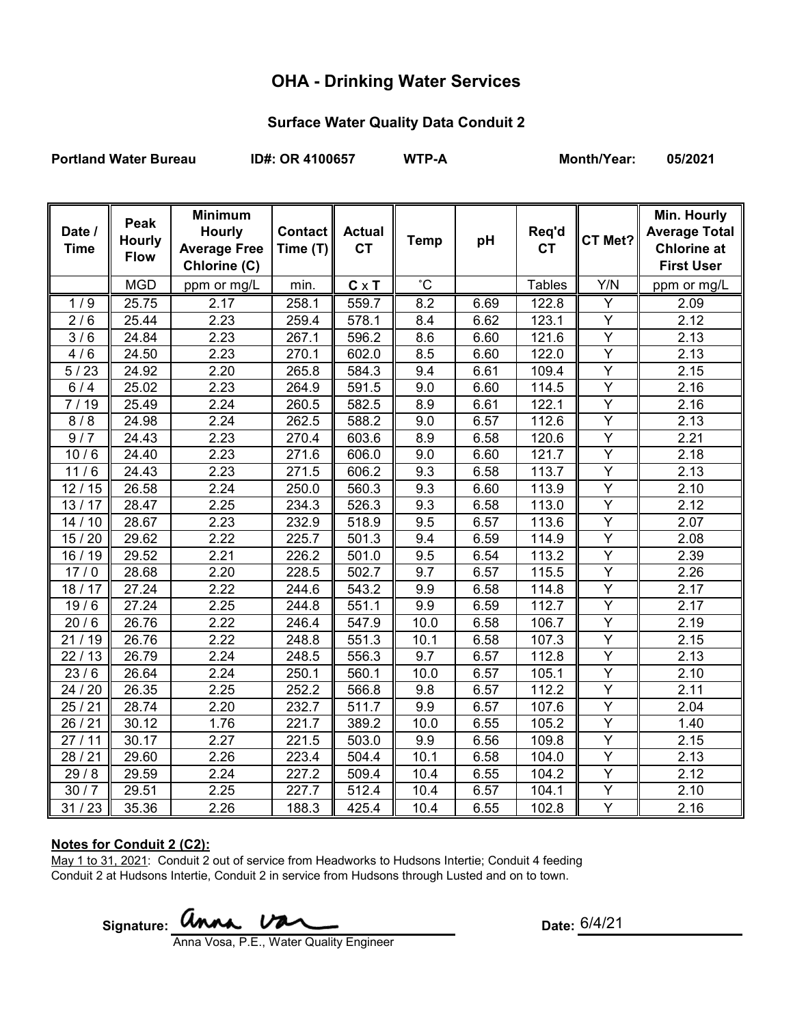# **OHA - Drinking Water Services**

### **Surface Water Quality Data Conduit 2**

Portland Water Bureau **ID#: OR 4100657** WTP-A Month/Year: 05/2021

| Date /<br><b>Time</b> | Peak<br><b>Hourly</b><br><b>Flow</b> | <b>Minimum</b><br><b>Hourly</b><br><b>Average Free</b><br>Chlorine (C) | Contact   <br>Time (T) | <b>Actual</b><br><b>CT</b> | <b>Temp</b>     | pH   | Req'd<br><b>CT</b> | CT Met?                 | Min. Hourly<br><b>Average Total</b><br><b>Chlorine at</b><br><b>First User</b> |
|-----------------------|--------------------------------------|------------------------------------------------------------------------|------------------------|----------------------------|-----------------|------|--------------------|-------------------------|--------------------------------------------------------------------------------|
|                       | <b>MGD</b>                           | ppm or mg/L                                                            | min.                   | $C \times T$               | $\rm ^{\circ}C$ |      | <b>Tables</b>      | Y/N                     | ppm or mg/L                                                                    |
| 1/9                   | 25.75                                | 2.17                                                                   | 258.1                  | 559.7                      | 8.2             | 6.69 | 122.8              | Υ                       | $\frac{1}{2.09}$                                                               |
| 2/6                   | 25.44                                | 2.23                                                                   | 259.4                  | 578.1                      | 8.4             | 6.62 | 123.1              | Y                       | 2.12                                                                           |
| $\overline{3}/6$      | 24.84                                | 2.23                                                                   | 267.1                  | 596.2                      | 8.6             | 6.60 | 121.6              | Y                       | 2.13                                                                           |
| 4/6                   | 24.50                                | 2.23                                                                   | 270.1                  | 602.0                      | 8.5             | 6.60 | 122.0              | $\overline{Y}$          | 2.13                                                                           |
| 5/23                  | 24.92                                | 2.20                                                                   | 265.8                  | 584.3                      | 9.4             | 6.61 | 109.4              | $\overline{Y}$          | 2.15                                                                           |
| 6/4                   | 25.02                                | 2.23                                                                   | 264.9                  | 591.5                      | 9.0             | 6.60 | 114.5              | $\overline{Y}$          | 2.16                                                                           |
| 7/19                  | 25.49                                | 2.24                                                                   | 260.5                  | 582.5                      | 8.9             | 6.61 | 122.1              | $\overline{\mathsf{Y}}$ | 2.16                                                                           |
| 8/8                   | 24.98                                | 2.24                                                                   | 262.5                  | 588.2                      | 9.0             | 6.57 | 112.6              | Ÿ                       | 2.13                                                                           |
| 9/7                   | 24.43                                | 2.23                                                                   | 270.4                  | 603.6                      | 8.9             | 6.58 | 120.6              | $\overline{Y}$          | 2.21                                                                           |
| 10/6                  | 24.40                                | 2.23                                                                   | 271.6                  | 606.0                      | 9.0             | 6.60 | 121.7              | $\overline{Y}$          | 2.18                                                                           |
| 11/6                  | 24.43                                | 2.23                                                                   | 271.5                  | 606.2                      | 9.3             | 6.58 | 113.7              | $\overline{Y}$          | 2.13                                                                           |
| 12/15                 | 26.58                                | 2.24                                                                   | 250.0                  | 560.3                      | 9.3             | 6.60 | 113.9              | $\overline{Y}$          | 2.10                                                                           |
| 13/17                 | 28.47                                | 2.25                                                                   | 234.3                  | 526.3                      | 9.3             | 6.58 | 113.0              | $\overline{Y}$          | 2.12                                                                           |
| 14/10                 | 28.67                                | 2.23                                                                   | 232.9                  | 518.9                      | 9.5             | 6.57 | 113.6              | $\overline{Y}$          | 2.07                                                                           |
| 15/20                 | 29.62                                | 2.22                                                                   | 225.7                  | 501.3                      | 9.4             | 6.59 | 114.9              | $\overline{Y}$          | 2.08                                                                           |
| 16 / 19               | 29.52                                | 2.21                                                                   | 226.2                  | 501.0                      | 9.5             | 6.54 | 113.2              | $\overline{Y}$          | 2.39                                                                           |
| 17/0                  | 28.68                                | 2.20                                                                   | 228.5                  | 502.7                      | 9.7             | 6.57 | 115.5              | $\overline{Y}$          | 2.26                                                                           |
| 18/17                 | 27.24                                | 2.22                                                                   | 244.6                  | 543.2                      | 9.9             | 6.58 | 114.8              | $\overline{Y}$          | 2.17                                                                           |
| 19/6                  | 27.24                                | 2.25                                                                   | 244.8                  | 551.1                      | 9.9             | 6.59 | 112.7              | $\overline{Y}$          | 2.17                                                                           |
| 20/6                  | 26.76                                | 2.22                                                                   | 246.4                  | 547.9                      | 10.0            | 6.58 | 106.7              | $\overline{Y}$          | 2.19                                                                           |
| 21/19                 | 26.76                                | 2.22                                                                   | 248.8                  | 551.3                      | 10.1            | 6.58 | 107.3              | $\overline{Y}$          | 2.15                                                                           |
| 22/13                 | 26.79                                | 2.24                                                                   | 248.5                  | 556.3                      | 9.7             | 6.57 | 112.8              | Y                       | 2.13                                                                           |
| 23/6                  | 26.64                                | 2.24                                                                   | 250.1                  | 560.1                      | 10.0            | 6.57 | 105.1              | Y                       | 2.10                                                                           |
| 24 / 20               | 26.35                                | 2.25                                                                   | 252.2                  | 566.8                      | 9.8             | 6.57 | 112.2              | $\overline{Y}$          | 2.11                                                                           |
| 25/21                 | 28.74                                | 2.20                                                                   | 232.7                  | 511.7                      | 9.9             | 6.57 | 107.6              | Y                       | 2.04                                                                           |
| 26/21                 | 30.12                                | 1.76                                                                   | 221.7                  | 389.2                      | 10.0            | 6.55 | 105.2              | Y                       | 1.40                                                                           |
| 27/11                 | 30.17                                | 2.27                                                                   | 221.5                  | 503.0                      | 9.9             | 6.56 | 109.8              | Y                       | 2.15                                                                           |
| 28/21                 | 29.60                                | 2.26                                                                   | 223.4                  | 504.4                      | 10.1            | 6.58 | 104.0              | Y                       | 2.13                                                                           |
| 29/8                  | 29.59                                | 2.24                                                                   | 227.2                  | 509.4                      | 10.4            | 6.55 | 104.2              | Y                       | 2.12                                                                           |
| 30/7                  | 29.51                                | 2.25                                                                   | 227.7                  | 512.4                      | 10.4            | 6.57 | 104.1              | Y                       | 2.10                                                                           |
| 31/23                 | 35.36                                | 2.26                                                                   | 188.3                  | 425.4                      | 10.4            | 6.55 | 102.8              | $\overline{Y}$          | 2.16                                                                           |

#### **Notes for Conduit 2 (C2):**

May 1 to 31, 2021: Conduit 2 out of service from Headworks to Hudsons Intertie; Conduit 4 feeding Conduit 2 at Hudsons Intertie, Conduit 2 in service from Hudsons through Lusted and on to town.

Signature: **WIMA.**  $\overline{V}$   $\overline{A}$   $\overline{C}$  Date:

Date: 6/4/21

Anna Vosa, P.E., Water Quality Engineer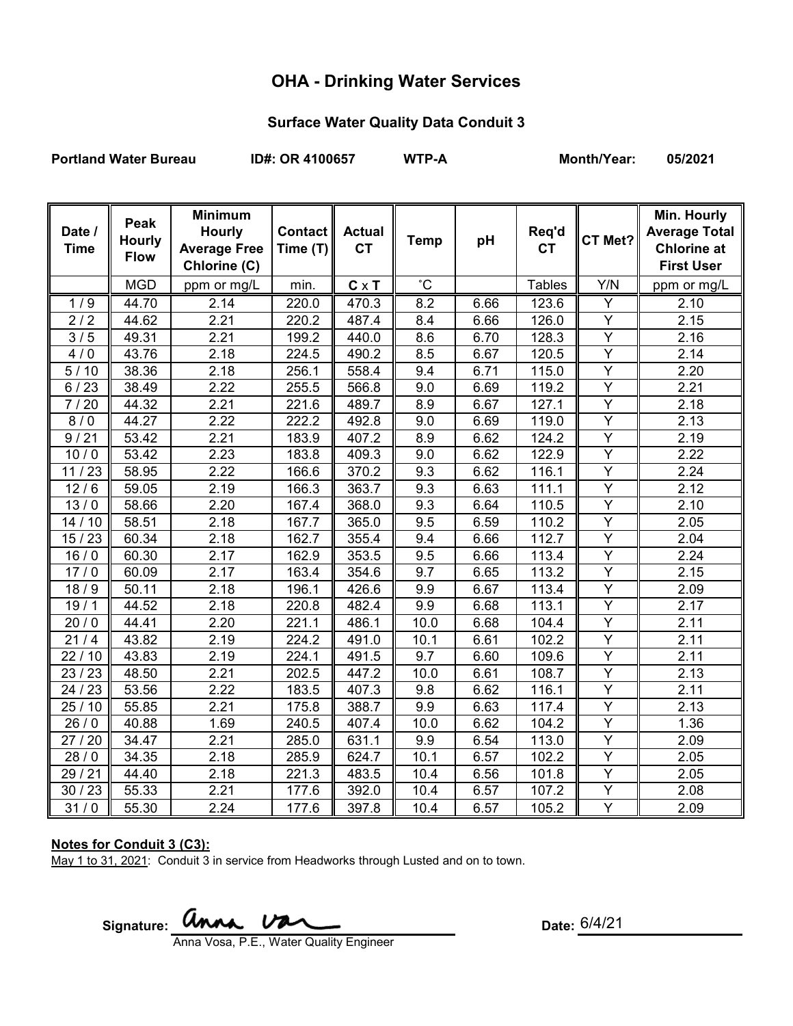# **OHA - Drinking Water Services**

### **Surface Water Quality Data Conduit 3**

Portland Water Bureau **ID#: OR 4100657** WTP-A Month/Year: 05/2021

| Date /<br><b>Time</b> | Peak<br><b>Hourly</b><br><b>Flow</b> | <b>Minimum</b><br><b>Hourly</b><br><b>Average Free</b><br>Chlorine (C) | <b>Contact</b><br>Time (T) | <b>Actual</b><br><b>CT</b> | <b>Temp</b>  | pH   | Req'd<br><b>CT</b> | CT Met?        | Min. Hourly<br><b>Average Total</b><br><b>Chlorine at</b><br><b>First User</b> |
|-----------------------|--------------------------------------|------------------------------------------------------------------------|----------------------------|----------------------------|--------------|------|--------------------|----------------|--------------------------------------------------------------------------------|
|                       | <b>MGD</b>                           | ppm or mg/L                                                            | min.                       | $C \times T$               | $^{\circ}$ C |      | <b>Tables</b>      | Y/N            | ppm or mg/L                                                                    |
| 1/9                   | 44.70                                | 2.14                                                                   | 220.0                      | 470.3                      | 8.2          | 6.66 | 123.6              | Y              | 2.10                                                                           |
| 2/2                   | 44.62                                | 2.21                                                                   | 220.2                      | 487.4                      | 8.4          | 6.66 | 126.0              | Y              | 2.15                                                                           |
| 3/5                   | 49.31                                | 2.21                                                                   | 199.2                      | 440.0                      | 8.6          | 6.70 | 128.3              | $\overline{Y}$ | 2.16                                                                           |
| 4/0                   | 43.76                                | 2.18                                                                   | 224.5                      | 490.2                      | 8.5          | 6.67 | 120.5              | Y              | 2.14                                                                           |
| 5/10                  | 38.36                                | 2.18                                                                   | 256.1                      | 558.4                      | 9.4          | 6.71 | 115.0              | $\overline{Y}$ | 2.20                                                                           |
| 6/23                  | 38.49                                | 2.22                                                                   | 255.5                      | 566.8                      | 9.0          | 6.69 | 119.2              | $\overline{Y}$ | 2.21                                                                           |
| 7/20                  | 44.32                                | 2.21                                                                   | 221.6                      | 489.7                      | 8.9          | 6.67 | 127.1              | $\overline{Y}$ | 2.18                                                                           |
| 8/0                   | 44.27                                | 2.22                                                                   | 222.2                      | 492.8                      | 9.0          | 6.69 | 119.0              | Y              | 2.13                                                                           |
| 9/21                  | 53.42                                | 2.21                                                                   | 183.9                      | 407.2                      | 8.9          | 6.62 | 124.2              | Y              | 2.19                                                                           |
| 10/0                  | 53.42                                | 2.23                                                                   | 183.8                      | 409.3                      | 9.0          | 6.62 | 122.9              | Y              | 2.22                                                                           |
| 11/23                 | 58.95                                | 2.22                                                                   | 166.6                      | 370.2                      | 9.3          | 6.62 | 116.1              | $\overline{Y}$ | 2.24                                                                           |
| 12/6                  | 59.05                                | 2.19                                                                   | 166.3                      | 363.7                      | 9.3          | 6.63 | 111.1              | $\overline{Y}$ | 2.12                                                                           |
| 13/0                  | 58.66                                | 2.20                                                                   | 167.4                      | 368.0                      | 9.3          | 6.64 | 110.5              | $\overline{Y}$ | 2.10                                                                           |
| 14/10                 | 58.51                                | 2.18                                                                   | 167.7                      | 365.0                      | 9.5          | 6.59 | 110.2              | $\overline{Y}$ | 2.05                                                                           |
| 15/23                 | 60.34                                | 2.18                                                                   | 162.7                      | 355.4                      | 9.4          | 6.66 | 112.7              | $\overline{Y}$ | 2.04                                                                           |
| 16/0                  | 60.30                                | 2.17                                                                   | 162.9                      | 353.5                      | 9.5          | 6.66 | 113.4              | Υ              | 2.24                                                                           |
| 17/0                  | 60.09                                | $\overline{2}.17$                                                      | 163.4                      | 354.6                      | 9.7          | 6.65 | 113.2              | Ÿ              | 2.15                                                                           |
| 18/9                  | 50.11                                | 2.18                                                                   | 196.1                      | 426.6                      | 9.9          | 6.67 | 113.4              | Y              | 2.09                                                                           |
| 19/1                  | 44.52                                | 2.18                                                                   | 220.8                      | 482.4                      | 9.9          | 6.68 | 113.1              | $\overline{Y}$ | 2.17                                                                           |
| 20/0                  | 44.41                                | 2.20                                                                   | 221.1                      | 486.1                      | 10.0         | 6.68 | 104.4              | Y              | 2.11                                                                           |
| 21/4                  | 43.82                                | 2.19                                                                   | 224.2                      | 491.0                      | 10.1         | 6.61 | 102.2              | $\overline{Y}$ | 2.11                                                                           |
| 22/10                 | 43.83                                | 2.19                                                                   | 224.1                      | 491.5                      | 9.7          | 6.60 | 109.6              | Y              | 2.11                                                                           |
| 23/23                 | 48.50                                | 2.21                                                                   | 202.5                      | 447.2                      | 10.0         | 6.61 | 108.7              | $\overline{Y}$ | 2.13                                                                           |
| 24 / 23               | 53.56                                | 2.22                                                                   | 183.5                      | 407.3                      | 9.8          | 6.62 | 116.1              | $\overline{Y}$ | 2.11                                                                           |
| 25/10                 | 55.85                                | 2.21                                                                   | 175.8                      | 388.7                      | 9.9          | 6.63 | 117.4              | Y              | 2.13                                                                           |
| 26/0                  | 40.88                                | 1.69                                                                   | 240.5                      | 407.4                      | 10.0         | 6.62 | 104.2              | Y              | 1.36                                                                           |
| 27 / 20               | 34.47                                | 2.21                                                                   | 285.0                      | 631.1                      | 9.9          | 6.54 | 113.0              | $\overline{Y}$ | 2.09                                                                           |
| 28/0                  | 34.35                                | 2.18                                                                   | 285.9                      | 624.7                      | 10.1         | 6.57 | 102.2              | $\overline{Y}$ | 2.05                                                                           |
| 29/21                 | 44.40                                | 2.18                                                                   | 221.3                      | 483.5                      | 10.4         | 6.56 | 101.8              | Y              | 2.05                                                                           |
| 30/23                 | 55.33                                | 2.21                                                                   | 177.6                      | 392.0                      | 10.4         | 6.57 | 107.2              | Y              | 2.08                                                                           |
| 31/0                  | 55.30                                | 2.24                                                                   | 177.6                      | 397.8                      | 10.4         | 6.57 | 105.2              | Y              | 2.09                                                                           |

### **Notes for Conduit 3 (C3):**

May 1 to 31, 2021: Conduit 3 in service from Headworks through Lusted and on to town.

Signature: **anna Van** 

Anna Vosa, P.E., Water Quality Engineer

Date:  $6/4/21$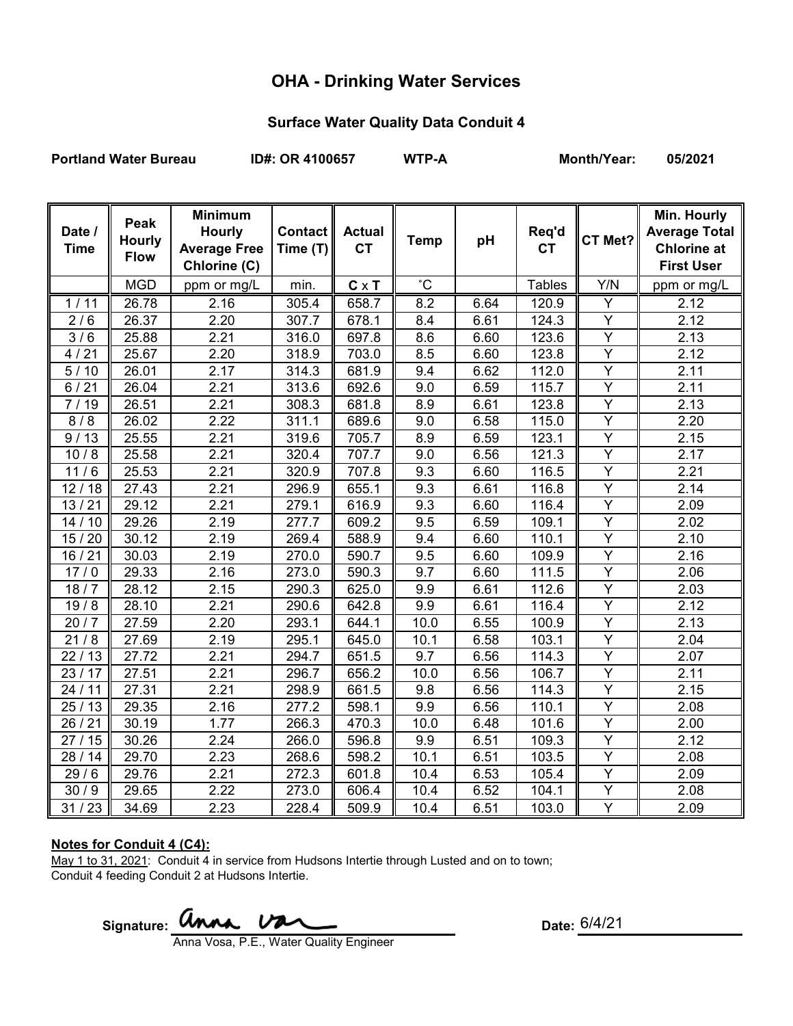# **OHA - Drinking Water Services**

### **Surface Water Quality Data Conduit 4**

Portland Water Bureau **ID#: OR 4100657** WTP-A Month/Year: 05/2021

| Date /<br><b>Time</b> | Peak<br><b>Hourly</b><br><b>Flow</b> | <b>Minimum</b><br><b>Hourly</b><br><b>Average Free</b><br>Chlorine (C) | Contact   <br>Time (T) | <b>Actual</b><br><b>CT</b> | <b>Temp</b>  | pH   | Req'd<br><b>CT</b> | CT Met?                 | Min. Hourly<br><b>Average Total</b><br><b>Chlorine at</b><br><b>First User</b> |
|-----------------------|--------------------------------------|------------------------------------------------------------------------|------------------------|----------------------------|--------------|------|--------------------|-------------------------|--------------------------------------------------------------------------------|
|                       | <b>MGD</b>                           | ppm or mg/L                                                            | min.                   | $C \times T$               | $^{\circ}$ C |      | <b>Tables</b>      | Y/N                     | ppm or mg/L                                                                    |
| 1/11                  | 26.78                                | 2.16                                                                   | 305.4                  | 658.7                      | 8.2          | 6.64 | 120.9              | Υ                       | 2.12                                                                           |
| 2/6                   | 26.37                                | 2.20                                                                   | 307.7                  | 678.1                      | 8.4          | 6.61 | 124.3              | Y                       | 2.12                                                                           |
| $\overline{3}/6$      | 25.88                                | 2.21                                                                   | 316.0                  | 697.8                      | 8.6          | 6.60 | 123.6              | Y                       | 2.13                                                                           |
| 4/21                  | 25.67                                | 2.20                                                                   | 318.9                  | 703.0                      | 8.5          | 6.60 | 123.8              | $\overline{Y}$          | 2.12                                                                           |
| $\frac{1}{5}$ / 10    | 26.01                                | 2.17                                                                   | 314.3                  | 681.9                      | 9.4          | 6.62 | 112.0              | $\overline{Y}$          | 2.11                                                                           |
| $6/21$                | 26.04                                | 2.21                                                                   | 313.6                  | 692.6                      | 9.0          | 6.59 | 115.7              | $\overline{Y}$          | 2.11                                                                           |
| 7/19                  | 26.51                                | 2.21                                                                   | 308.3                  | 681.8                      | 8.9          | 6.61 | 123.8              | $\overline{Y}$          | $\overline{2.13}$                                                              |
| 8/8                   | 26.02                                | 2.22                                                                   | 311.1                  | 689.6                      | 9.0          | 6.58 | 115.0              | $\overline{\mathsf{Y}}$ | $\overline{2.20}$                                                              |
| 9/13                  | 25.55                                | 2.21                                                                   | 319.6                  | 705.7                      | 8.9          | 6.59 | 123.1              | $\overline{Y}$          | 2.15                                                                           |
| 10/8                  | 25.58                                | 2.21                                                                   | 320.4                  | 707.7                      | 9.0          | 6.56 | 121.3              | Ÿ                       | 2.17                                                                           |
| 11/6                  | 25.53                                | 2.21                                                                   | 320.9                  | 707.8                      | 9.3          | 6.60 | 116.5              | $\overline{Y}$          | 2.21                                                                           |
| 12/18                 | 27.43                                | 2.21                                                                   | 296.9                  | 655.1                      | 9.3          | 6.61 | 116.8              | $\overline{Y}$          | 2.14                                                                           |
| 13/21                 | 29.12                                | 2.21                                                                   | 279.1                  | 616.9                      | 9.3          | 6.60 | 116.4              | $\overline{Y}$          | 2.09                                                                           |
| 14/10                 | 29.26                                | 2.19                                                                   | 277.7                  | 609.2                      | 9.5          | 6.59 | 109.1              | $\overline{Y}$          | 2.02                                                                           |
| 15/20                 | 30.12                                | 2.19                                                                   | 269.4                  | 588.9                      | 9.4          | 6.60 | 110.1              | $\overline{Y}$          | 2.10                                                                           |
| 16/21                 | 30.03                                | 2.19                                                                   | 270.0                  | 590.7                      | 9.5          | 6.60 | 109.9              | $\overline{Y}$          | 2.16                                                                           |
| 17/0                  | 29.33                                | 2.16                                                                   | 273.0                  | 590.3                      | 9.7          | 6.60 | 111.5              | $\overline{Y}$          | 2.06                                                                           |
| 18/7                  | 28.12                                | 2.15                                                                   | 290.3                  | 625.0                      | 9.9          | 6.61 | 112.6              | $\overline{Y}$          | 2.03                                                                           |
| 19/8                  | 28.10                                | 2.21                                                                   | 290.6                  | 642.8                      | 9.9          | 6.61 | 116.4              | $\overline{Y}$          | 2.12                                                                           |
| 20/7                  | 27.59                                | 2.20                                                                   | 293.1                  | 644.1                      | 10.0         | 6.55 | 100.9              | $\overline{Y}$          | 2.13                                                                           |
| 21/8                  | 27.69                                | 2.19                                                                   | 295.1                  | 645.0                      | 10.1         | 6.58 | 103.1              | $\overline{Y}$          | 2.04                                                                           |
| 22/13                 | 27.72                                | 2.21                                                                   | 294.7                  | 651.5                      | 9.7          | 6.56 | 114.3              | $\overline{Y}$          | 2.07                                                                           |
| 23/17                 | 27.51                                | 2.21                                                                   | 296.7                  | 656.2                      | 10.0         | 6.56 | 106.7              | Y                       | 2.11                                                                           |
| 24/11                 | 27.31                                | 2.21                                                                   | 298.9                  | 661.5                      | 9.8          | 6.56 | 114.3              | Υ                       | 2.15                                                                           |
| 25/13                 | 29.35                                | 2.16                                                                   | 277.2                  | 598.1                      | 9.9          | 6.56 | 110.1              | Y                       | 2.08                                                                           |
| 26/21                 | 30.19                                | 1.77                                                                   | 266.3                  | 470.3                      | 10.0         | 6.48 | 101.6              | $\overline{Y}$          | 2.00                                                                           |
| 27<br>15              | 30.26                                | 2.24                                                                   | 266.0                  | 596.8                      | 9.9          | 6.51 | 109.3              | Y                       | 2.12                                                                           |
| 28 / 14               | 29.70                                | 2.23                                                                   | 268.6                  | 598.2                      | 10.1         | 6.51 | 103.5              | Y                       | 2.08                                                                           |
| 29/6                  | 29.76                                | 2.21                                                                   | 272.3                  | 601.8                      | 10.4         | 6.53 | 105.4              | Y                       | 2.09                                                                           |
| 30/9                  | 29.65                                | $\overline{2.22}$                                                      | 273.0                  | 606.4                      | 10.4         | 6.52 | 104.1              | Y                       | 2.08                                                                           |
| 31/23                 | 34.69                                | 2.23                                                                   | 228.4                  | 509.9                      | 10.4         | 6.51 | 103.0              | Y                       | 2.09                                                                           |

#### **Notes for Conduit 4 (C4):**

May 1 to 31, 2021: Conduit 4 in service from Hudsons Intertie through Lusted and on to town; Conduit 4 feeding Conduit 2 at Hudsons Intertie.

Signature: **anna** Va Anna Vosa, P.E., Water Quality Engineer

Date: 6/4/21